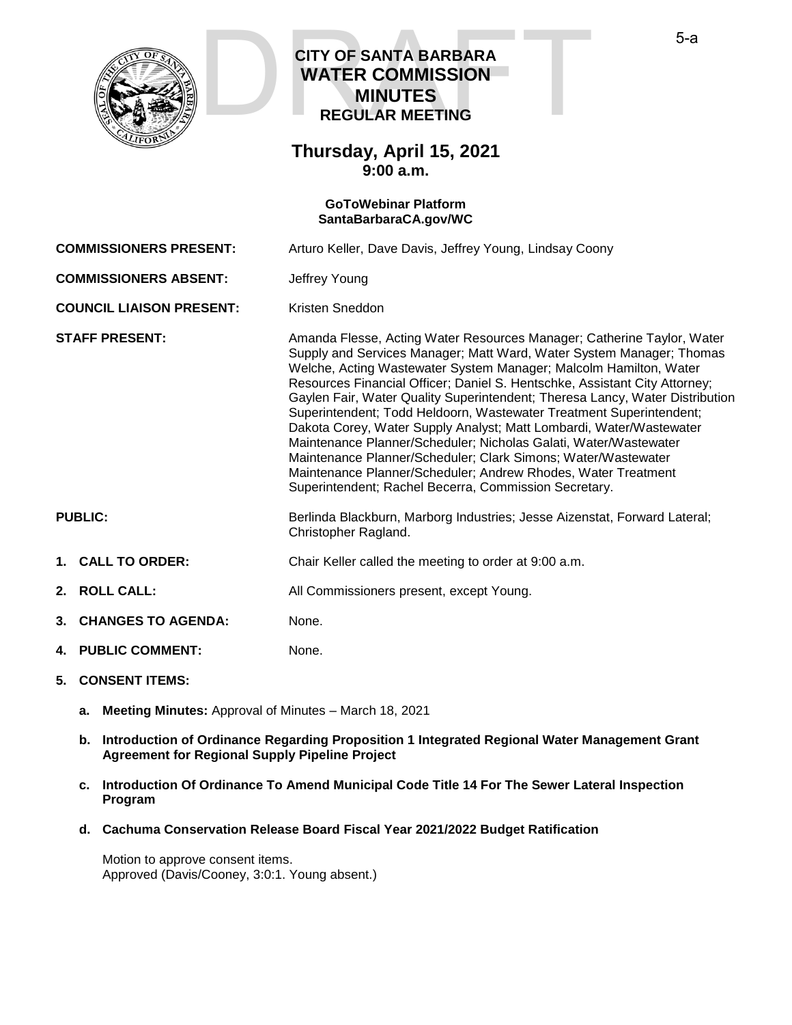

## **CITY OF SANTA BARBARA WATER COMMISSION MINUTES REGULAR MEETING CITY OF SANTA BARBARA<br>WATER COMMISSION<br>MINUTES<br>REGULAR MEETING**

### **Thursday, April 15, 2021 9:00 a.m.**

### **GoToWebinar Platform [SantaBarbaraCA.gov/WC](https://www.santabarbaraca.gov/gov/brdcomm/nz/water/agendas.asp)**

**COMMISSIONERS PRESENT:** Arturo Keller, Dave Davis, Jeffrey Young, Lindsay Coony **COMMISSIONERS ABSENT:** Jeffrey Young **COUNCIL LIAISON PRESENT:** Kristen Sneddon **STAFF PRESENT:** Amanda Flesse, Acting Water Resources Manager; Catherine Taylor, Water Supply and Services Manager; Matt Ward, Water System Manager; Thomas Welche, Acting Wastewater System Manager; Malcolm Hamilton, Water Resources Financial Officer; Daniel S. Hentschke, Assistant City Attorney; Gaylen Fair, Water Quality Superintendent; Theresa Lancy, Water Distribution Superintendent; Todd Heldoorn, Wastewater Treatment Superintendent; Dakota Corey, Water Supply Analyst; Matt Lombardi, Water/Wastewater Maintenance Planner/Scheduler; Nicholas Galati, Water/Wastewater Maintenance Planner/Scheduler; Clark Simons; Water/Wastewater Maintenance Planner/Scheduler; Andrew Rhodes, Water Treatment Superintendent; Rachel Becerra, Commission Secretary. PUBLIC: Berlinda Blackburn, Marborg Industries; Jesse Aizenstat, Forward Lateral; Christopher Ragland. **1. CALL TO ORDER:** Chair Keller called the meeting to order at 9:00 a.m. 2. **ROLL CALL:** All Commissioners present, except Young. **3. CHANGES TO AGENDA:** None. **4. PUBLIC COMMENT:** None. **5. CONSENT ITEMS:**

- **a. Meeting Minutes:** Approval of Minutes March 18, 2021
- **b. Introduction of Ordinance Regarding Proposition 1 Integrated Regional Water Management Grant Agreement for Regional Supply Pipeline Project**
- **c. Introduction Of Ordinance To Amend Municipal Code Title 14 For The Sewer Lateral Inspection Program**
- **d. Cachuma Conservation Release Board Fiscal Year 2021/2022 Budget Ratification**

Motion to approve consent items. Approved (Davis/Cooney, 3:0:1. Young absent.)